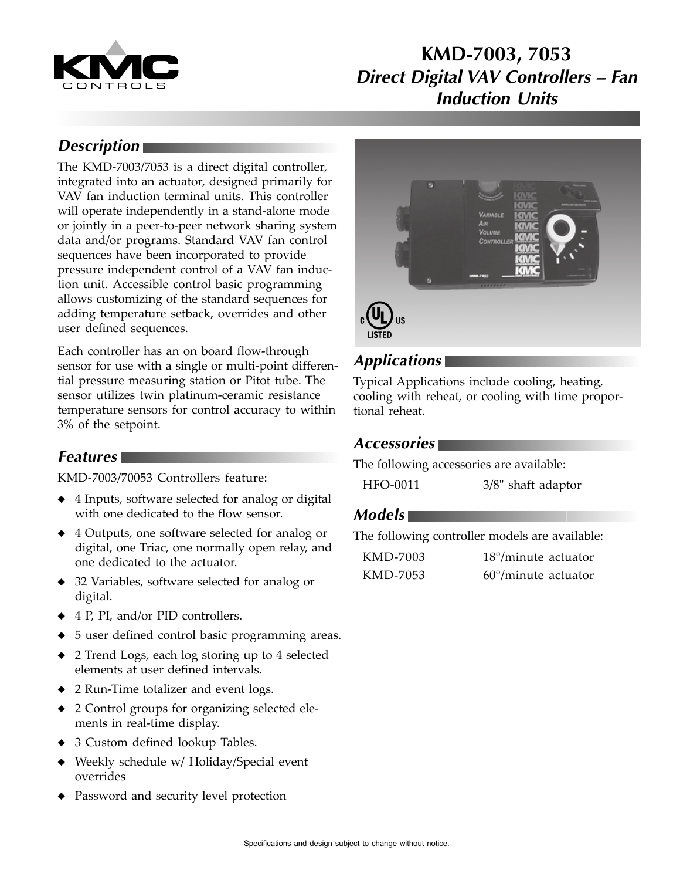

## **KMD-7003, 7053 Direct Digital VAV Controllers – Fan Induction Units**

## **Description**

The KMD-7003/7053 is a direct digital controller, integrated into an actuator, designed primarily for VAV fan induction terminal units. This controller will operate independently in a stand-alone mode or jointly in a peer-to-peer network sharing system data and/or programs. Standard VAV fan control sequences have been incorporated to provide pressure independent control of a VAV fan induction unit. Accessible control basic programming allows customizing of the standard sequences for adding temperature setback, overrides and other user defined sequences.

Each controller has an on board flow-through sensor for use with a single or multi-point differential pressure measuring station or Pitot tube. The sensor utilizes twin platinum-ceramic resistance temperature sensors for control accuracy to within 3% of the setpoint.

### **Features**

KMD-7003/70053 Controllers feature:

- ◆ 4 Inputs, software selected for analog or digital with one dedicated to the flow sensor.
- ◆ 4 Outputs, one software selected for analog or digital, one Triac, one normally open relay, and one dedicated to the actuator.
- ◆ 32 Variables, software selected for analog or digital.
- ◆ 4 P, PI, and/or PID controllers.
- 5 user defined control basic programming areas.
- ◆ 2 Trend Logs, each log storing up to 4 selected elements at user defined intervals.
- ◆ 2 Run-Time totalizer and event logs.
- ◆ 2 Control groups for organizing selected elements in real-time display.
- ◆ 3 Custom defined lookup Tables.
- Weekly schedule w/ Holiday/Special event overrides
- Password and security level protection



#### **Applications**

Typical Applications include cooling, heating, cooling with reheat, or cooling with time proportional reheat.

#### **Accessories**

The following accessories are available:

| HFO-0011 | 3/8" shaft adaptor |
|----------|--------------------|
|----------|--------------------|

#### **Models**

The following controller models are available:

| KMD-7003 | $18^{\circ}/$ minute actuator |
|----------|-------------------------------|
| KMD-7053 | $60^{\circ}/$ minute actuator |